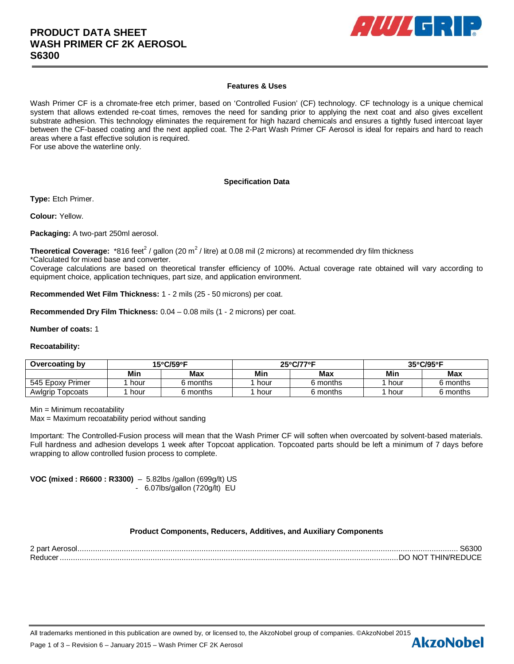

## **Features & Uses**

Wash Primer CF is a chromate-free etch primer, based on 'Controlled Fusion' (CF) technology. CF technology is a unique chemical system that allows extended re-coat times, removes the need for sanding prior to applying the next coat and also gives excellent substrate adhesion. This technology eliminates the requirement for high hazard chemicals and ensures a tightly fused intercoat layer between the CF-based coating and the next applied coat. The 2-Part Wash Primer CF Aerosol is ideal for repairs and hard to reach areas where a fast effective solution is required.

For use above the waterline only.

## **Specification Data**

**Type:** Etch Primer.

**Colour:** Yellow.

**Packaging:** A two-part 250ml aerosol.

Theoretical Coverage: \*816 feet<sup>2</sup> / gallon (20 m<sup>2</sup> / litre) at 0.08 mil (2 microns) at recommended dry film thickness \*Calculated for mixed base and converter.

Coverage calculations are based on theoretical transfer efficiency of 100%. Actual coverage rate obtained will vary according to equipment choice, application techniques, part size, and application environment.

**Recommended Wet Film Thickness:** 1 - 2 mils (25 - 50 microns) per coat.

**Recommended Dry Film Thickness:** 0.04 – 0.08 mils (1 - 2 microns) per coat.

#### **Number of coats:** 1

#### **Recoatability:**

| Overcoating by   | 15°C/59°F |          | $25^{\circ}$ C/77 $^{\circ}$ F |            | $35^{\circ}$ C/95 $^{\circ}$ F |          |
|------------------|-----------|----------|--------------------------------|------------|--------------------------------|----------|
|                  | Min       | Max      | Min                            | <b>Max</b> | Min                            | Max      |
| 545 Epoxy Primer | hour      | 6 months | hour                           | 6 months   | hour                           | 6 months |
| Awlgrip Topcoats | hour      | 6 months | hour                           | 6 months   | hour                           | 6 months |

Min = Minimum recoatability

Max = Maximum recoatability period without sanding

Important: The Controlled-Fusion process will mean that the Wash Primer CF will soften when overcoated by solvent-based materials. Full hardness and adhesion develops 1 week after Topcoat application. Topcoated parts should be left a minimum of 7 days before wrapping to allow controlled fusion process to complete.

**VOC (mixed : R6600 : R3300)** – 5.82lbs /gallon (699g/lt) US - 6.07lbs/gallon (720g/lt) EU

## **Product Components, Reducers, Additives, and Auxiliary Components**

2 part Aerosol ............................................................................................................................................................................ S6300 Reducer ......................................................................................................................................................... DO NOT THIN/REDUCE

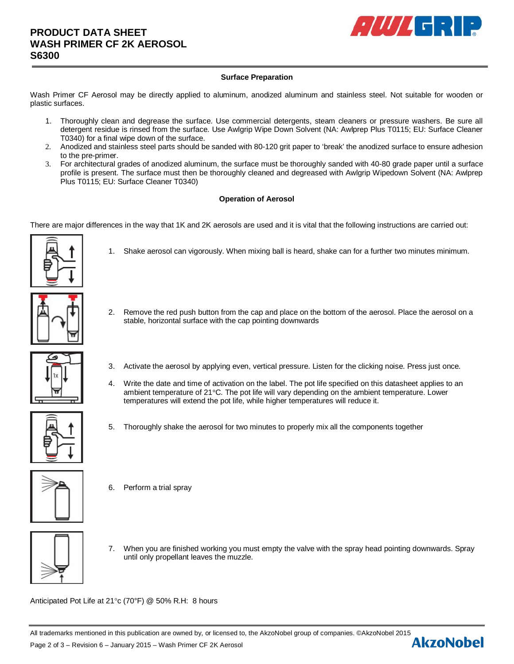

# **Surface Preparation**

Wash Primer CF Aerosol may be directly applied to aluminum, anodized aluminum and stainless steel. Not suitable for wooden or plastic surfaces.

- 1. Thoroughly clean and degrease the surface. Use commercial detergents, steam cleaners or pressure washers. Be sure all detergent residue is rinsed from the surface. Use Awlgrip Wipe Down Solvent (NA: Awlprep Plus T0115; EU: Surface Cleaner T0340) for a final wipe down of the surface.
- 2. Anodized and stainless steel parts should be sanded with 80-120 grit paper to 'break' the anodized surface to ensure adhesion to the pre-primer.
- 3. For architectural grades of anodized aluminum, the surface must be thoroughly sanded with 40-80 grade paper until a surface profile is present. The surface must then be thoroughly cleaned and degreased with Awlgrip Wipedown Solvent (NA: Awlprep Plus T0115; EU: Surface Cleaner T0340)

# **Operation of Aerosol**

There are major differences in the way that 1K and 2K aerosols are used and it is vital that the following instructions are carried out:



- 1. Shake aerosol can vigorously. When mixing ball is heard, shake can for a further two minutes minimum.
- 2. Remove the red push button from the cap and place on the bottom of the aerosol. Place the aerosol on a stable, horizontal surface with the cap pointing downwards



- 3. Activate the aerosol by applying even, vertical pressure. Listen for the clicking noise. Press just once.
- 4. Write the date and time of activation on the label. The pot life specified on this datasheet applies to an ambient temperature of 21°C. The pot life will vary depending on the ambient temperature. Lower temperatures will extend the pot life, while higher temperatures will reduce it.
- 5. Thoroughly shake the aerosol for two minutes to properly mix all the components together



6. Perform a trial spray



7. When you are finished working you must empty the valve with the spray head pointing downwards. Spray until only propellant leaves the muzzle.

Anticipated Pot Life at 21°c (70°F) @ 50% R.H: 8 hours